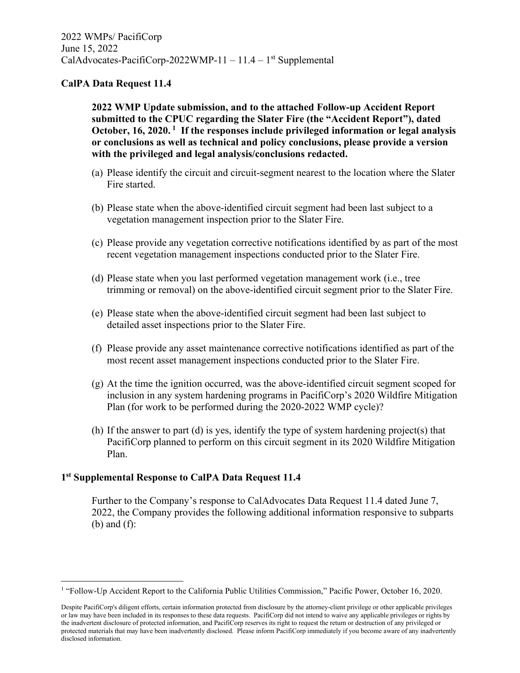## **CalPA Data Request 11.4**

**2022 WMP Update submission, and to the attached Follow-up Accident Report submitted to the CPUC regarding the Slater Fire (the "Accident Report"), dated October, 16, 2020. 1 If the responses include privileged information or legal analysis or conclusions as well as technical and policy conclusions, please provide a version with the privileged and legal analysis/conclusions redacted.**

- (a) Please identify the circuit and circuit-segment nearest to the location where the Slater Fire started.
- (b) Please state when the above-identified circuit segment had been last subject to a vegetation management inspection prior to the Slater Fire.
- (c) Please provide any vegetation corrective notifications identified by as part of the most recent vegetation management inspections conducted prior to the Slater Fire.
- (d) Please state when you last performed vegetation management work (i.e., tree trimming or removal) on the above-identified circuit segment prior to the Slater Fire.
- (e) Please state when the above-identified circuit segment had been last subject to detailed asset inspections prior to the Slater Fire.
- (f) Please provide any asset maintenance corrective notifications identified as part of the most recent asset management inspections conducted prior to the Slater Fire.
- (g) At the time the ignition occurred, was the above-identified circuit segment scoped for inclusion in any system hardening programs in PacifiCorp's 2020 Wildfire Mitigation Plan (for work to be performed during the 2020-2022 WMP cycle)?
- (h) If the answer to part (d) is yes, identify the type of system hardening project(s) that PacifiCorp planned to perform on this circuit segment in its 2020 Wildfire Mitigation Plan.

## **1st Supplemental Response to CalPA Data Request 11.4**

Further to the Company's response to CalAdvocates Data Request 11.4 dated June 7, 2022, the Company provides the following additional information responsive to subparts (b) and (f):

<sup>&</sup>lt;sup>1</sup> "Follow-Up Accident Report to the California Public Utilities Commission," Pacific Power, October 16, 2020.

Despite PacifiCorp's diligent efforts, certain information protected from disclosure by the attorney-client privilege or other applicable privileges or law may have been included in its responses to these data requests. PacifiCorp did not intend to waive any applicable privileges or rights by the inadvertent disclosure of protected information, and PacifiCorp reserves its right to request the return or destruction of any privileged or protected materials that may have been inadvertently disclosed. Please inform PacifiCorp immediately if you become aware of any inadvertently disclosed information.